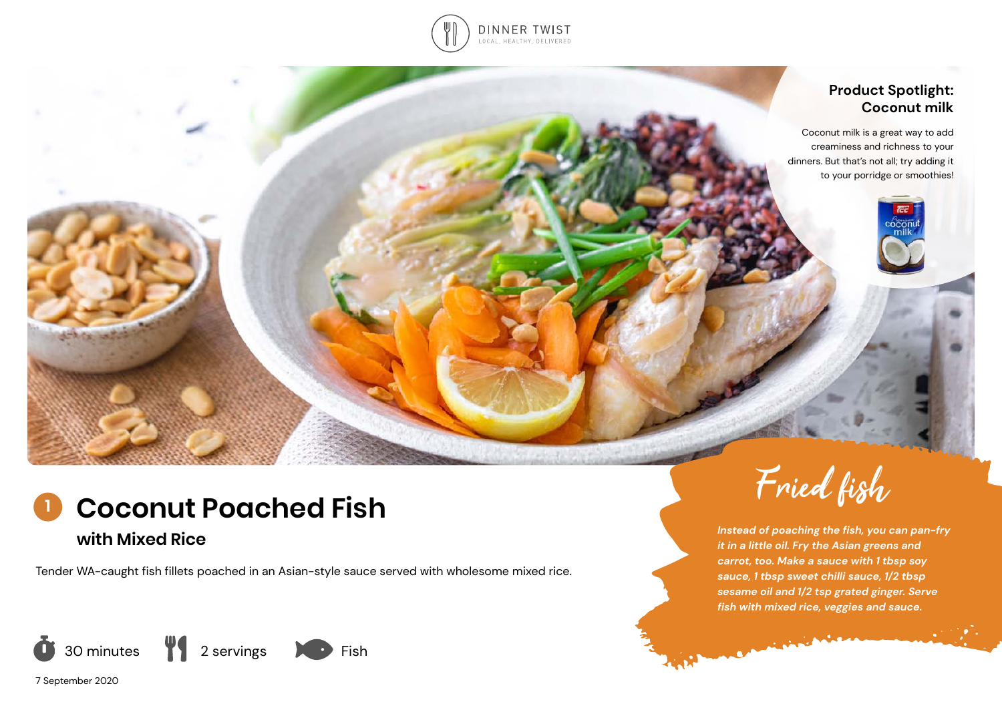

celesting

### **Product Spotlight: Coconut milk**

Coconut milk is a great way to add creaminess and richness to your dinners. But that's not all; try adding it to your porridge or smoothies!



**with Mixed Rice**

Tender WA-caught fish fillets poached in an Asian-style sauce served with wholesome mixed rice.



7 September 2020



*Instead of poaching the fish, you can pan-fry it in a little oil. Fry the Asian greens and carrot, too. Make a sauce with 1 tbsp soy sauce, 1 tbsp sweet chilli sauce, 1/2 tbsp sesame oil and 1/2 tsp grated ginger. Serve fish with mixed rice, veggies and sauce.* 

Commission